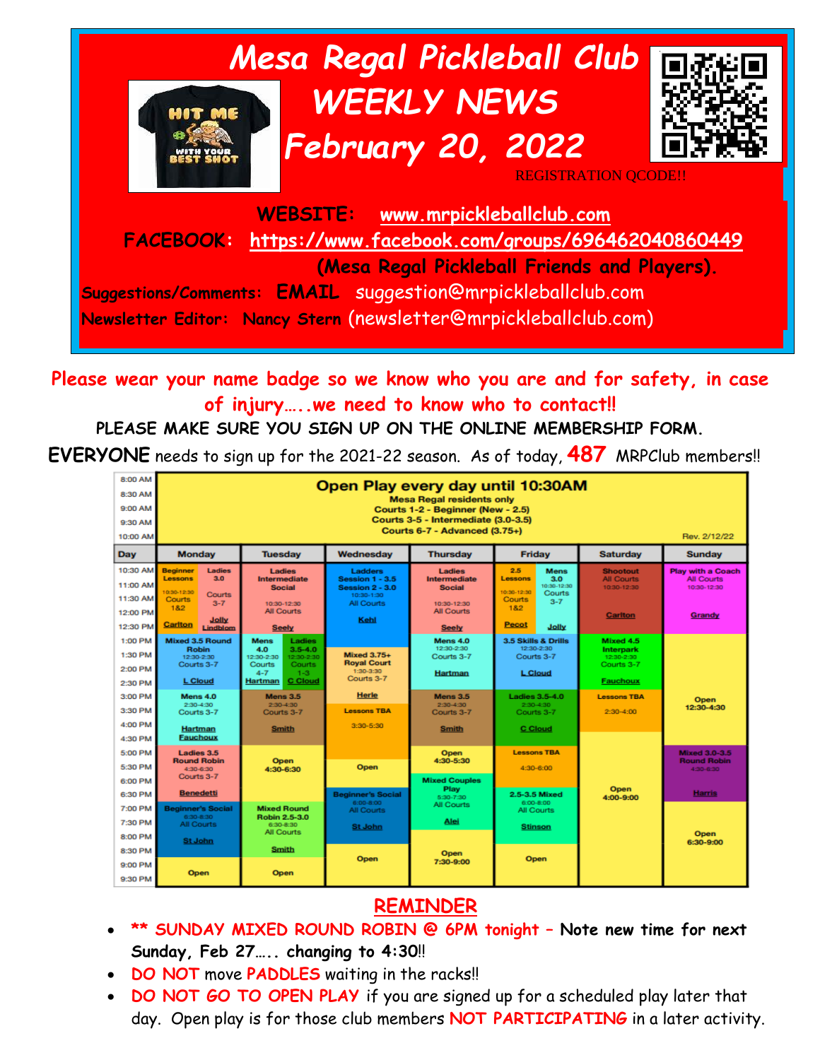

**Please wear your name badge so we know who you are and for safety, in case of injury…..we need to know who to contact!!**

#### **PLEASE MAKE SURE YOU SIGN UP ON THE ONLINE MEMBERSHIP FORM.**

**EVERYONE** needs to sign up for the 2021-22 season. As of today, **487** MRPClub members!!



#### **REMINDER**

- **\*\* SUNDAY MIXED ROUND ROBIN @ 6PM tonight – Note new time for next Sunday, Feb 27….. changing to 4:30**!!
- **DO NOT** move **PADDLES** waiting in the racks!!
- **DO NOT GO TO OPEN PLAY** if you are signed up for a scheduled play later that day. Open play is for those club members **NOT PARTICIPATING** in a later activity.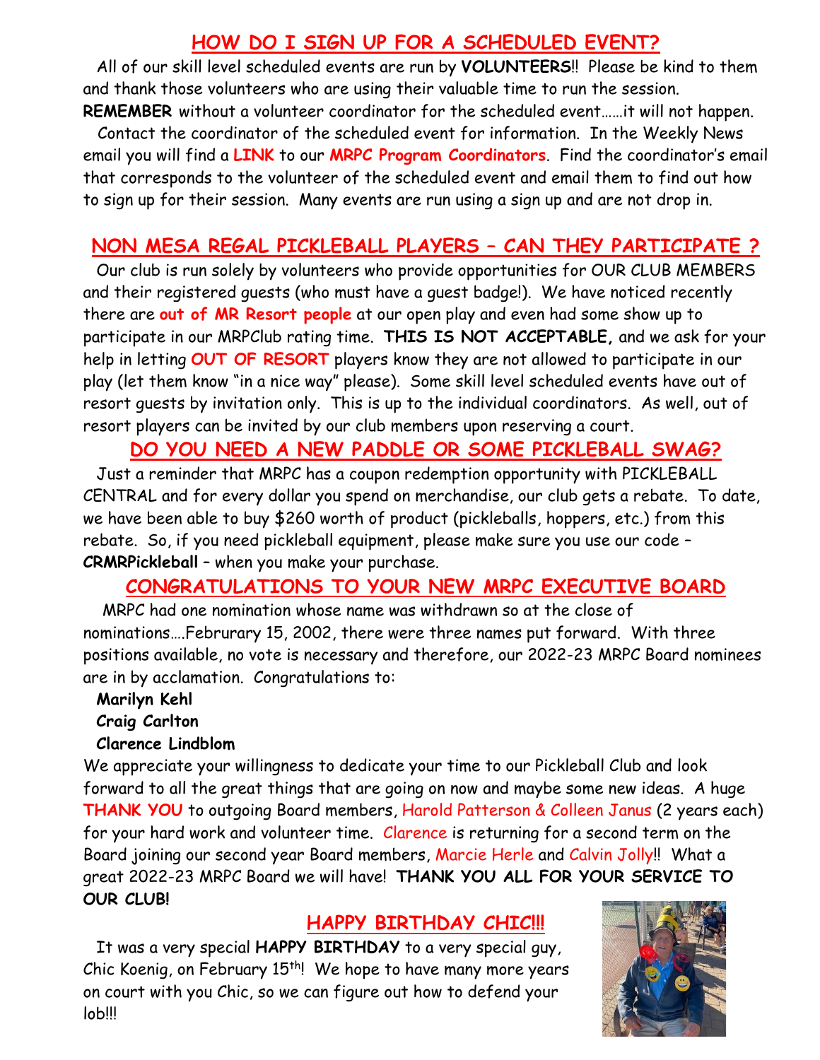### **HOW DO I SIGN UP FOR A SCHEDULED EVENT?**

All of our skill level scheduled events are run by **VOLUNTEERS**!! Please be kind to them and thank those volunteers who are using their valuable time to run the session. **REMEMBER** without a volunteer coordinator for the scheduled event……it will not happen.

 Contact the coordinator of the scheduled event for information. In the Weekly News email you will find a **LINK** to our **MRPC Program Coordinators**. Find the coordinator's email that corresponds to the volunteer of the scheduled event and email them to find out how to sign up for their session. Many events are run using a sign up and are not drop in.

#### **NON MESA REGAL PICKLEBALL PLAYERS – CAN THEY PARTICIPATE ?**

Our club is run solely by volunteers who provide opportunities for OUR CLUB MEMBERS and their registered guests (who must have a guest badge!). We have noticed recently there are **out of MR Resort people** at our open play and even had some show up to participate in our MRPClub rating time. **THIS IS NOT ACCEPTABLE,** and we ask for your help in letting **OUT OF RESORT** players know they are not allowed to participate in our play (let them know "in a nice way" please). Some skill level scheduled events have out of resort guests by invitation only. This is up to the individual coordinators. As well, out of resort players can be invited by our club members upon reserving a court.

#### **DO YOU NEED A NEW PADDLE OR SOME PICKLEBALL SWAG?**

Just a reminder that MRPC has a coupon redemption opportunity with PICKLEBALL CENTRAL and for every dollar you spend on merchandise, our club gets a rebate. To date, we have been able to buy \$260 worth of product (pickleballs, hoppers, etc.) from this rebate. So, if you need pickleball equipment, please make sure you use our code – **CRMRPickleball** – when you make your purchase.

#### **CONGRATULATIONS TO YOUR NEW MRPC EXECUTIVE BOARD**

 MRPC had one nomination whose name was withdrawn so at the close of nominations….Februrary 15, 2002, there were three names put forward. With three positions available, no vote is necessary and therefore, our 2022-23 MRPC Board nominees are in by acclamation. Congratulations to:

#### **Marilyn Kehl**

**Craig Carlton**

#### **Clarence Lindblom**

We appreciate your willingness to dedicate your time to our Pickleball Club and look forward to all the great things that are going on now and maybe some new ideas. A huge **THANK YOU** to outgoing Board members, Harold Patterson & Colleen Janus (2 years each) for your hard work and volunteer time. Clarence is returning for a second term on the Board joining our second year Board members, Marcie Herle and Calvin Jolly!! What a great 2022-23 MRPC Board we will have! **THANK YOU ALL FOR YOUR SERVICE TO OUR CLUB!**

#### **HAPPY BIRTHDAY CHIC!!!**

It was a very special **HAPPY BIRTHDAY** to a very special guy, Chic Koenig, on February 15<sup>th</sup>! We hope to have many more years on court with you Chic, so we can figure out how to defend your lob!!!

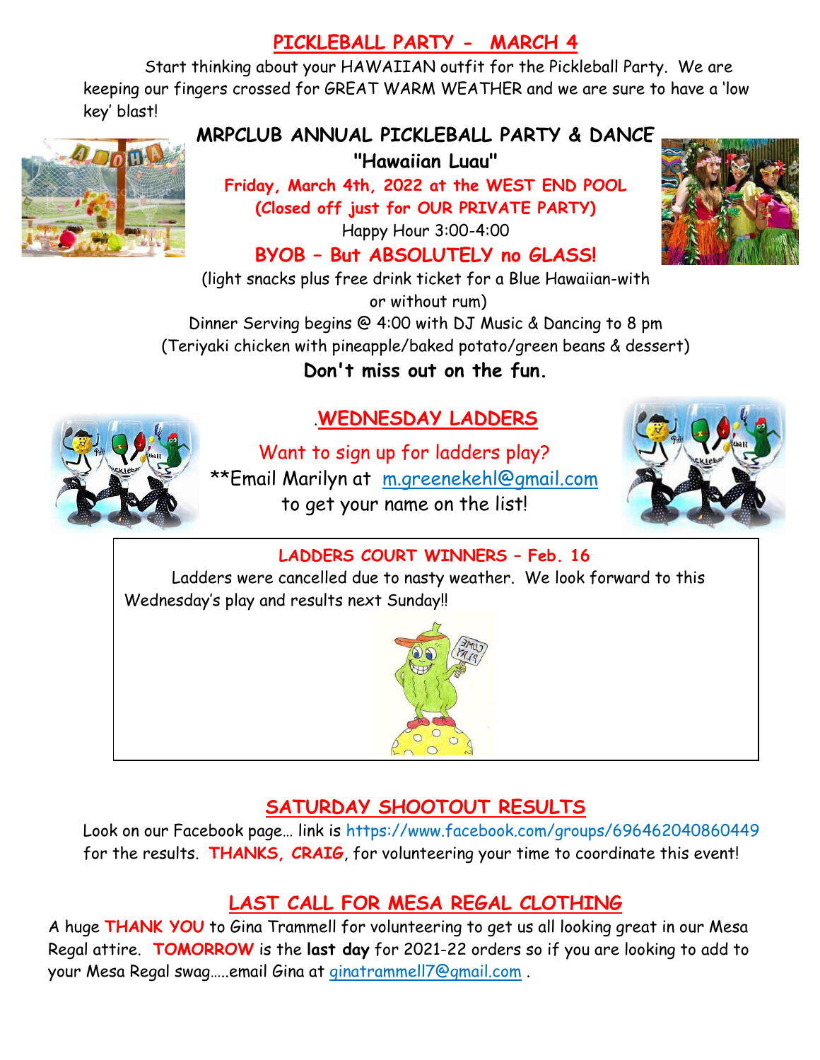# **PICKLEBALL PARTY - MARCH 4**

Start thinking about your HAWAIIAN outfit for the Pickleball Party. We are keeping our fingers crossed for GREAT WARM WEATHER and we are sure to have a 'low key' blast!



### **MRPCLUB ANNUAL PICKLEBALL PARTY & DANCE**

**"Hawaiian Luau"**

**Friday, March 4th, 2022 at the WEST END POOL (Closed off just for OUR PRIVATE PARTY)**

Happy Hour 3:00-4:00

## **BYOB – But ABSOLUTELY no GLASS!**

(light snacks plus free drink ticket for a Blue Hawaiian-with or without rum) Dinner Serving begins @ 4:00 with DJ Music & Dancing to 8 pm

(Teriyaki chicken with pineapple/baked potato/green beans & dessert)

**Don't miss out on the fun.** 



# .**WEDNESDAY LADDERS**

Want to sign up for ladders play? \*\*Email Marilyn at [m.greenekehl@gmail.com](mailto:m.greenekehl@gmail.com) to get your name on the list!



#### **LADDERS COURT WINNERS – Feb. 16**

Ladders were cancelled due to nasty weather. We look forward to this Wednesday's play and results next Sunday!!



# **SATURDAY SHOOTOUT RESULTS**

Look on our Facebook page… link is https://www.facebook.com/groups/696462040860449 for the results. **THANKS, CRAIG**, for volunteering your time to coordinate this event!

# **LAST CALL FOR MESA REGAL CLOTHING**

A huge **THANK YOU** to Gina Trammell for volunteering to get us all looking great in our Mesa Regal attire. **TOMORROW** is the **last day** for 2021-22 orders so if you are looking to add to your Mesa Regal swag…..email Gina at [ginatrammell7@gmail.com](mailto:ginatrammell7@gmail.com) .